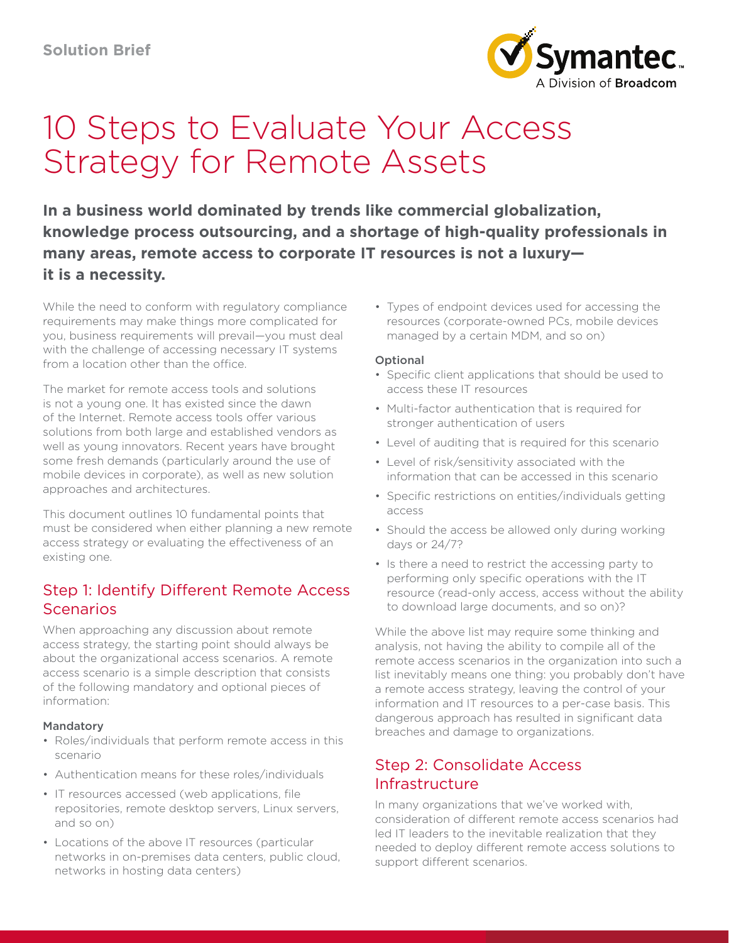

# 10 Steps to Evaluate Your Access Strategy for Remote Assets

**In a business world dominated by trends like commercial globalization, knowledge process outsourcing, and a shortage of high-quality professionals in many areas, remote access to corporate IT resources is not a luxury it is a necessity.** 

While the need to conform with regulatory compliance requirements may make things more complicated for you, business requirements will prevail—you must deal with the challenge of accessing necessary IT systems from a location other than the office.

The market for remote access tools and solutions is not a young one. It has existed since the dawn of the Internet. Remote access tools offer various solutions from both large and established vendors as well as young innovators. Recent years have brought some fresh demands (particularly around the use of mobile devices in corporate), as well as new solution approaches and architectures.

This document outlines 10 fundamental points that must be considered when either planning a new remote access strategy or evaluating the effectiveness of an existing one.

# Step 1: Identify Different Remote Access **Scenarios**

When approaching any discussion about remote access strategy, the starting point should always be about the organizational access scenarios. A remote access scenario is a simple description that consists of the following mandatory and optional pieces of information:

#### Mandatory

- Roles/individuals that perform remote access in this scenario
- Authentication means for these roles/individuals
- IT resources accessed (web applications, file repositories, remote desktop servers, Linux servers, and so on)
- Locations of the above IT resources (particular networks in on-premises data centers, public cloud, networks in hosting data centers)

• Types of endpoint devices used for accessing the resources (corporate-owned PCs, mobile devices managed by a certain MDM, and so on)

#### Optional

- Specific client applications that should be used to access these IT resources
- Multi-factor authentication that is required for stronger authentication of users
- Level of auditing that is required for this scenario
- Level of risk/sensitivity associated with the information that can be accessed in this scenario
- Specific restrictions on entities/individuals getting access
- Should the access be allowed only during working days or 24/7?
- Is there a need to restrict the accessing party to performing only specific operations with the IT resource (read-only access, access without the ability to download large documents, and so on)?

While the above list may require some thinking and analysis, not having the ability to compile all of the remote access scenarios in the organization into such a list inevitably means one thing: you probably don't have a remote access strategy, leaving the control of your information and IT resources to a per-case basis. This dangerous approach has resulted in significant data breaches and damage to organizations.

#### Step 2: Consolidate Access Infrastructure

In many organizations that we've worked with, consideration of different remote access scenarios had led IT leaders to the inevitable realization that they needed to deploy different remote access solutions to support different scenarios.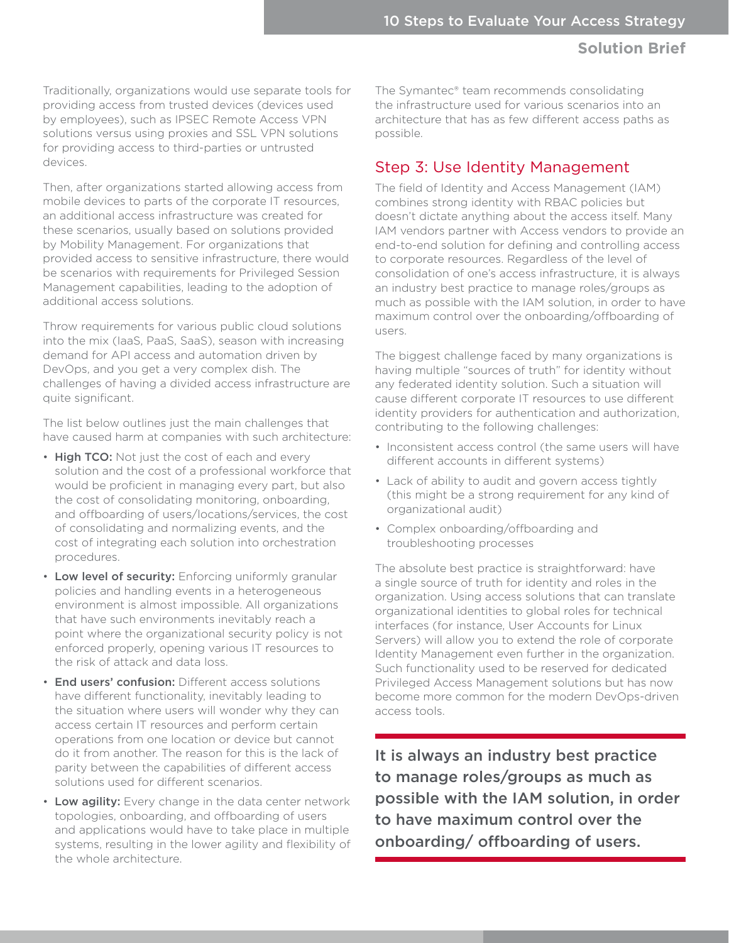Traditionally, organizations would use separate tools for providing access from trusted devices (devices used by employees), such as IPSEC Remote Access VPN solutions versus using proxies and SSL VPN solutions for providing access to third-parties or untrusted devices.

Then, after organizations started allowing access from mobile devices to parts of the corporate IT resources, an additional access infrastructure was created for these scenarios, usually based on solutions provided by Mobility Management. For organizations that provided access to sensitive infrastructure, there would be scenarios with requirements for Privileged Session Management capabilities, leading to the adoption of additional access solutions.

Throw requirements for various public cloud solutions into the mix (IaaS, PaaS, SaaS), season with increasing demand for API access and automation driven by DevOps, and you get a very complex dish. The challenges of having a divided access infrastructure are quite significant.

The list below outlines just the main challenges that have caused harm at companies with such architecture:

- High TCO: Not just the cost of each and every solution and the cost of a professional workforce that would be proficient in managing every part, but also the cost of consolidating monitoring, onboarding, and offboarding of users/locations/services, the cost of consolidating and normalizing events, and the cost of integrating each solution into orchestration procedures.
- Low level of security: Enforcing uniformly granular policies and handling events in a heterogeneous environment is almost impossible. All organizations that have such environments inevitably reach a point where the organizational security policy is not enforced properly, opening various IT resources to the risk of attack and data loss.
- End users' confusion: Different access solutions have different functionality, inevitably leading to the situation where users will wonder why they can access certain IT resources and perform certain operations from one location or device but cannot do it from another. The reason for this is the lack of parity between the capabilities of different access solutions used for different scenarios.
- Low agility: Every change in the data center network topologies, onboarding, and offboarding of users and applications would have to take place in multiple systems, resulting in the lower agility and flexibility of the whole architecture.

The Symantec® team recommends consolidating the infrastructure used for various scenarios into an architecture that has as few different access paths as possible.

# Step 3: Use Identity Management

The field of Identity and Access Management (IAM) combines strong identity with RBAC policies but doesn't dictate anything about the access itself. Many IAM vendors partner with Access vendors to provide an end-to-end solution for defining and controlling access to corporate resources. Regardless of the level of consolidation of one's access infrastructure, it is always an industry best practice to manage roles/groups as much as possible with the IAM solution, in order to have maximum control over the onboarding/offboarding of users.

The biggest challenge faced by many organizations is having multiple "sources of truth" for identity without any federated identity solution. Such a situation will cause different corporate IT resources to use different identity providers for authentication and authorization, contributing to the following challenges:

- Inconsistent access control (the same users will have different accounts in different systems)
- Lack of ability to audit and govern access tightly (this might be a strong requirement for any kind of organizational audit)
- Complex onboarding/offboarding and troubleshooting processes

The absolute best practice is straightforward: have a single source of truth for identity and roles in the organization. Using access solutions that can translate organizational identities to global roles for technical interfaces (for instance, User Accounts for Linux Servers) will allow you to extend the role of corporate Identity Management even further in the organization. Such functionality used to be reserved for dedicated Privileged Access Management solutions but has now become more common for the modern DevOps-driven access tools.

It is always an industry best practice to manage roles/groups as much as possible with the IAM solution, in order to have maximum control over the onboarding/ offboarding of users.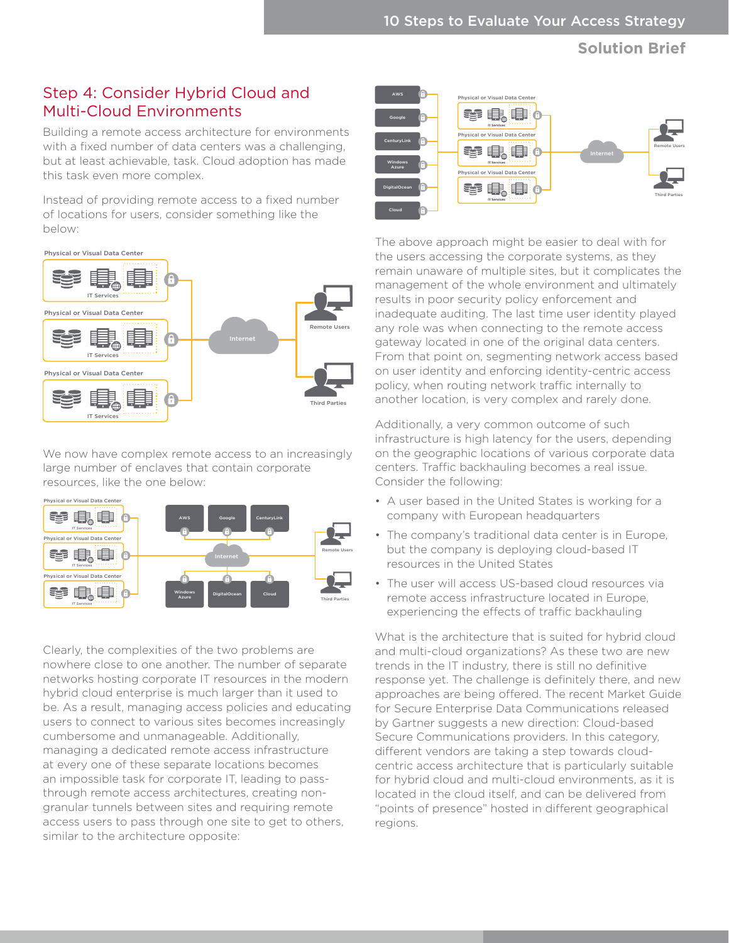## Step 4: Consider Hybrid Cloud and Multi-Cloud Environments

Building a remote access architecture for environments with a fixed number of data centers was a challenging, but at least achievable, task. Cloud adoption has made this task even more complex.

Instead of providing remote access to a fixed number of locations for users, consider something like the below:



We now have complex remote access to an increasingly large number of enclaves that contain corporate resources, like the one below:



Clearly, the complexities of the two problems are nowhere close to one another. The number of separate networks hosting corporate IT resources in the modern hybrid cloud enterprise is much larger than it used to be. As a result, managing access policies and educating users to connect to various sites becomes increasingly cumbersome and unmanageable. Additionally, managing a dedicated remote access infrastructure at every one of these separate locations becomes an impossible task for corporate IT, leading to passthrough remote access architectures, creating nongranular tunnels between sites and requiring remote access users to pass through one site to get to others, similar to the architecture opposite:



The above approach might be easier to deal with for the users accessing the corporate systems, as they remain unaware of multiple sites, but it complicates the management of the whole environment and ultimately results in poor security policy enforcement and inadequate auditing. The last time user identity played any role was when connecting to the remote access gateway located in one of the original data centers. From that point on, segmenting network access based on user identity and enforcing identity-centric access policy, when routing network traffic internally to another location, is very complex and rarely done.

Additionally, a very common outcome of such infrastructure is high latency for the users, depending on the geographic locations of various corporate data centers. Traffic backhauling becomes a real issue. Consider the following:

- A user based in the United States is working for a company with European headquarters
- The company's traditional data center is in Europe, but the company is deploying cloud-based IT resources in the United States
- The user will access US-based cloud resources via remote access infrastructure located in Europe, experiencing the effects of traffic backhauling

What is the architecture that is suited for hybrid cloud and multi-cloud organizations? As these two are new trends in the IT industry, there is still no definitive response yet. The challenge is definitely there, and new approaches are being offered. The recent Market Guide for Secure Enterprise Data Communications released by Gartner suggests a new direction: Cloud-based Secure Communications providers. In this category, different vendors are taking a step towards cloudcentric access architecture that is particularly suitable for hybrid cloud and multi-cloud environments, as it is located in the cloud itself, and can be delivered from "points of presence" hosted in different geographical regions.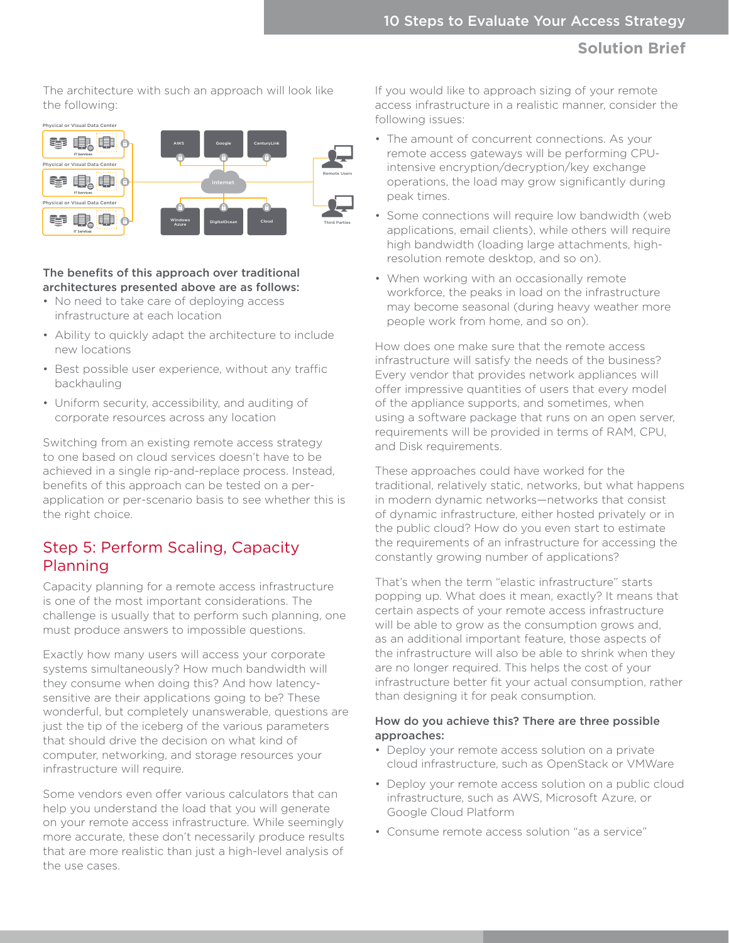The architecture with such an approach will look like the following:



#### The benefits of this approach over traditional architectures presented above are as follows:

- No need to take care of deploying access infrastructure at each location
- Ability to quickly adapt the architecture to include new locations
- Best possible user experience, without any traffic backhauling
- Uniform security, accessibility, and auditing of corporate resources across any location

Switching from an existing remote access strategy to one based on cloud services doesn't have to be achieved in a single rip-and-replace process. Instead, benefits of this approach can be tested on a perapplication or per-scenario basis to see whether this is the right choice.

## Step 5: Perform Scaling, Capacity Planning

Capacity planning for a remote access infrastructure is one of the most important considerations. The challenge is usually that to perform such planning, one must produce answers to impossible questions.

Exactly how many users will access your corporate systems simultaneously? How much bandwidth will they consume when doing this? And how latencysensitive are their applications going to be? These wonderful, but completely unanswerable, questions are just the tip of the iceberg of the various parameters that should drive the decision on what kind of computer, networking, and storage resources your infrastructure will require.

Some vendors even offer various calculators that can help you understand the load that you will generate on your remote access infrastructure. While seemingly more accurate, these don't necessarily produce results that are more realistic than just a high-level analysis of the use cases.

If you would like to approach sizing of your remote access infrastructure in a realistic manner, consider the following issues:

- The amount of concurrent connections. As your remote access gateways will be performing CPUintensive encryption/decryption/key exchange operations, the load may grow significantly during peak times.
- Some connections will require low bandwidth (web applications, email clients), while others will require high bandwidth (loading large attachments, highresolution remote desktop, and so on).
- When working with an occasionally remote workforce, the peaks in load on the infrastructure may become seasonal (during heavy weather more people work from home, and so on).

How does one make sure that the remote access infrastructure will satisfy the needs of the business? Every vendor that provides network appliances will offer impressive quantities of users that every model of the appliance supports, and sometimes, when using a software package that runs on an open server, requirements will be provided in terms of RAM, CPU, and Disk requirements.

These approaches could have worked for the traditional, relatively static, networks, but what happens in modern dynamic networks—networks that consist of dynamic infrastructure, either hosted privately or in the public cloud? How do you even start to estimate the requirements of an infrastructure for accessing the constantly growing number of applications?

That's when the term "elastic infrastructure" starts popping up. What does it mean, exactly? It means that certain aspects of your remote access infrastructure will be able to grow as the consumption grows and, as an additional important feature, those aspects of the infrastructure will also be able to shrink when they are no longer required. This helps the cost of your infrastructure better fit your actual consumption, rather than designing it for peak consumption.

#### How do you achieve this? There are three possible approaches:

- Deploy your remote access solution on a private cloud infrastructure, such as OpenStack or VMWare
- Deploy your remote access solution on a public cloud infrastructure, such as AWS, Microsoft Azure, or Google Cloud Platform
- Consume remote access solution "as a service"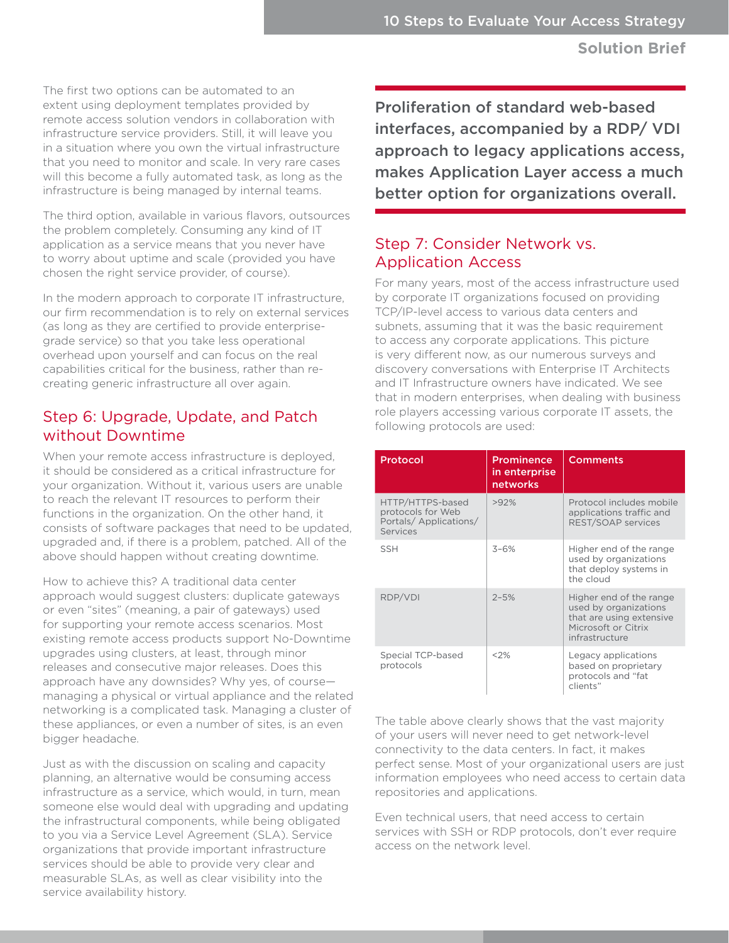The first two options can be automated to an extent using deployment templates provided by remote access solution vendors in collaboration with infrastructure service providers. Still, it will leave you in a situation where you own the virtual infrastructure that you need to monitor and scale. In very rare cases will this become a fully automated task, as long as the infrastructure is being managed by internal teams.

The third option, available in various flavors, outsources the problem completely. Consuming any kind of IT application as a service means that you never have to worry about uptime and scale (provided you have chosen the right service provider, of course).

In the modern approach to corporate IT infrastructure, our firm recommendation is to rely on external services (as long as they are certified to provide enterprisegrade service) so that you take less operational overhead upon yourself and can focus on the real capabilities critical for the business, rather than recreating generic infrastructure all over again.

# Step 6: Upgrade, Update, and Patch without Downtime

When your remote access infrastructure is deployed, it should be considered as a critical infrastructure for your organization. Without it, various users are unable to reach the relevant IT resources to perform their functions in the organization. On the other hand, it consists of software packages that need to be updated, upgraded and, if there is a problem, patched. All of the above should happen without creating downtime.

How to achieve this? A traditional data center approach would suggest clusters: duplicate gateways or even "sites" (meaning, a pair of gateways) used for supporting your remote access scenarios. Most existing remote access products support No-Downtime upgrades using clusters, at least, through minor releases and consecutive major releases. Does this approach have any downsides? Why yes, of course managing a physical or virtual appliance and the related networking is a complicated task. Managing a cluster of these appliances, or even a number of sites, is an even bigger headache.

Just as with the discussion on scaling and capacity planning, an alternative would be consuming access infrastructure as a service, which would, in turn, mean someone else would deal with upgrading and updating the infrastructural components, while being obligated to you via a Service Level Agreement (SLA). Service organizations that provide important infrastructure services should be able to provide very clear and measurable SLAs, as well as clear visibility into the service availability history.

Proliferation of standard web-based interfaces, accompanied by a RDP/ VDI approach to legacy applications access, makes Application Layer access a much better option for organizations overall.

# Step 7: Consider Network vs. Application Access

For many years, most of the access infrastructure used by corporate IT organizations focused on providing TCP/IP-level access to various data centers and subnets, assuming that it was the basic requirement to access any corporate applications. This picture is very different now, as our numerous surveys and discovery conversations with Enterprise IT Architects and IT Infrastructure owners have indicated. We see that in modern enterprises, when dealing with business role players accessing various corporate IT assets, the following protocols are used:

| Protocol                                                                   | <b>Prominence</b><br>in enterprise<br>networks | <b>Comments</b>                                                                                                       |
|----------------------------------------------------------------------------|------------------------------------------------|-----------------------------------------------------------------------------------------------------------------------|
| HTTP/HTTPS-based<br>protocols for Web<br>Portals/Applications/<br>Services | >92%                                           | Protocol includes mobile<br>applications traffic and<br>REST/SOAP services                                            |
| <b>SSH</b>                                                                 | $3 - 6%$                                       | Higher end of the range<br>used by organizations<br>that deploy systems in<br>the cloud                               |
| RDP/VDI                                                                    | $2 - 5%$                                       | Higher end of the range<br>used by organizations<br>that are using extensive<br>Microsoft or Citrix<br>infrastructure |
| Special TCP-based<br>protocols                                             | $<$ 2%                                         | Legacy applications<br>based on proprietary<br>protocols and "fat<br>clients"                                         |

The table above clearly shows that the vast majority of your users will never need to get network-level connectivity to the data centers. In fact, it makes perfect sense. Most of your organizational users are just information employees who need access to certain data repositories and applications.

Even technical users, that need access to certain services with SSH or RDP protocols, don't ever require access on the network level.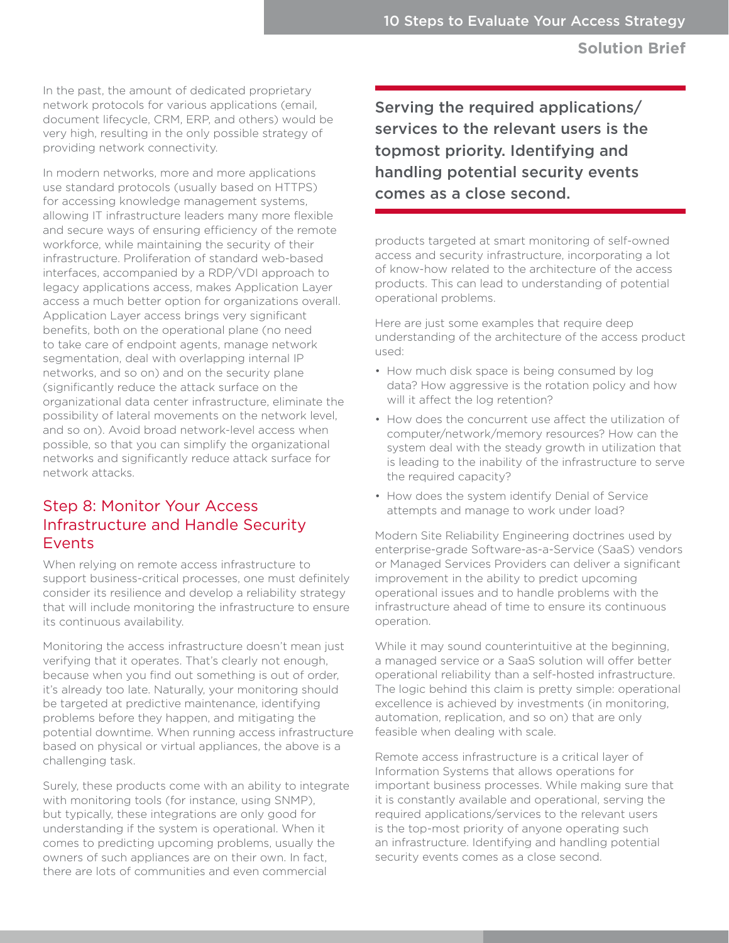In the past, the amount of dedicated proprietary network protocols for various applications (email, document lifecycle, CRM, ERP, and others) would be very high, resulting in the only possible strategy of providing network connectivity.

In modern networks, more and more applications use standard protocols (usually based on HTTPS) for accessing knowledge management systems, allowing IT infrastructure leaders many more flexible and secure ways of ensuring efficiency of the remote workforce, while maintaining the security of their infrastructure. Proliferation of standard web-based interfaces, accompanied by a RDP/VDI approach to legacy applications access, makes Application Layer access a much better option for organizations overall. Application Layer access brings very significant benefits, both on the operational plane (no need to take care of endpoint agents, manage network segmentation, deal with overlapping internal IP networks, and so on) and on the security plane (significantly reduce the attack surface on the organizational data center infrastructure, eliminate the possibility of lateral movements on the network level, and so on). Avoid broad network-level access when possible, so that you can simplify the organizational networks and significantly reduce attack surface for network attacks.

## Step 8: Monitor Your Access Infrastructure and Handle Security Events

When relying on remote access infrastructure to support business-critical processes, one must definitely consider its resilience and develop a reliability strategy that will include monitoring the infrastructure to ensure its continuous availability.

Monitoring the access infrastructure doesn't mean just verifying that it operates. That's clearly not enough, because when you find out something is out of order, it's already too late. Naturally, your monitoring should be targeted at predictive maintenance, identifying problems before they happen, and mitigating the potential downtime. When running access infrastructure based on physical or virtual appliances, the above is a challenging task.

Surely, these products come with an ability to integrate with monitoring tools (for instance, using SNMP), but typically, these integrations are only good for understanding if the system is operational. When it comes to predicting upcoming problems, usually the owners of such appliances are on their own. In fact, there are lots of communities and even commercial

Serving the required applications/ services to the relevant users is the topmost priority. Identifying and handling potential security events comes as a close second.

products targeted at smart monitoring of self-owned access and security infrastructure, incorporating a lot of know-how related to the architecture of the access products. This can lead to understanding of potential operational problems.

Here are just some examples that require deep understanding of the architecture of the access product used:

- How much disk space is being consumed by log data? How aggressive is the rotation policy and how will it affect the log retention?
- How does the concurrent use affect the utilization of computer/network/memory resources? How can the system deal with the steady growth in utilization that is leading to the inability of the infrastructure to serve the required capacity?
- How does the system identify Denial of Service attempts and manage to work under load?

Modern Site Reliability Engineering doctrines used by enterprise-grade Software-as-a-Service (SaaS) vendors or Managed Services Providers can deliver a significant improvement in the ability to predict upcoming operational issues and to handle problems with the infrastructure ahead of time to ensure its continuous operation.

While it may sound counterintuitive at the beginning, a managed service or a SaaS solution will offer better operational reliability than a self-hosted infrastructure. The logic behind this claim is pretty simple: operational excellence is achieved by investments (in monitoring, automation, replication, and so on) that are only feasible when dealing with scale.

Remote access infrastructure is a critical layer of Information Systems that allows operations for important business processes. While making sure that it is constantly available and operational, serving the required applications/services to the relevant users is the top-most priority of anyone operating such an infrastructure. Identifying and handling potential security events comes as a close second.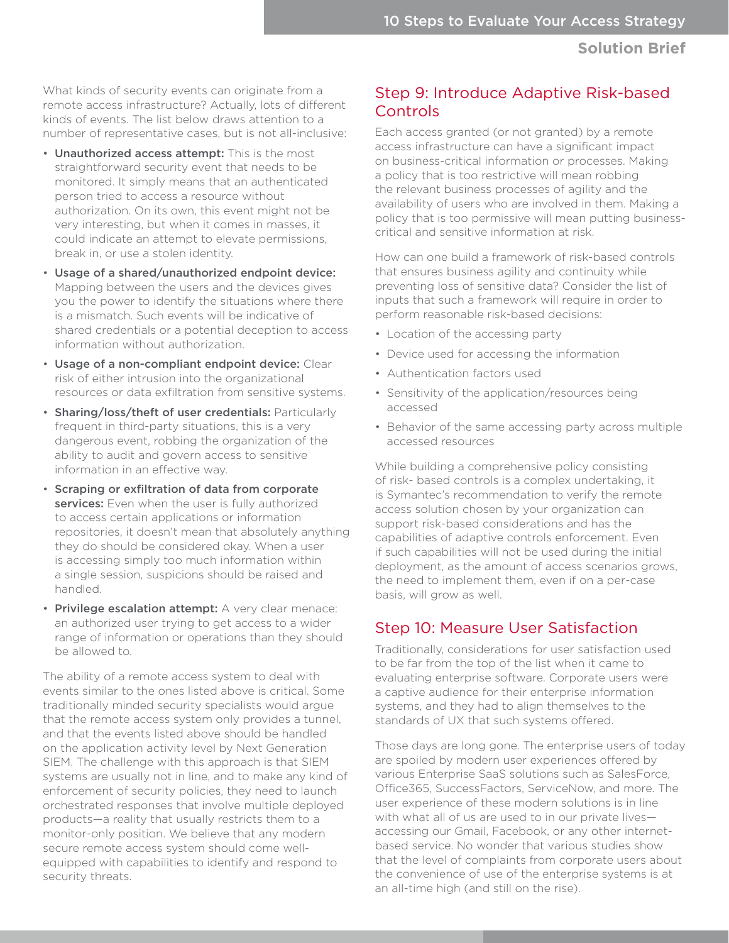What kinds of security events can originate from a remote access infrastructure? Actually, lots of different kinds of events. The list below draws attention to a number of representative cases, but is not all-inclusive:

- Unauthorized access attempt: This is the most straightforward security event that needs to be monitored. It simply means that an authenticated person tried to access a resource without authorization. On its own, this event might not be very interesting, but when it comes in masses, it could indicate an attempt to elevate permissions, break in, or use a stolen identity.
- Usage of a shared/unauthorized endpoint device: Mapping between the users and the devices gives you the power to identify the situations where there is a mismatch. Such events will be indicative of shared credentials or a potential deception to access information without authorization.
- Usage of a non-compliant endpoint device: Clear risk of either intrusion into the organizational resources or data exfiltration from sensitive systems.
- Sharing/loss/theft of user credentials: Particularly frequent in third-party situations, this is a very dangerous event, robbing the organization of the ability to audit and govern access to sensitive information in an effective way.
- Scraping or exfiltration of data from corporate services: Even when the user is fully authorized to access certain applications or information repositories, it doesn't mean that absolutely anything they do should be considered okay. When a user is accessing simply too much information within a single session, suspicions should be raised and handled.
- Privilege escalation attempt: A very clear menace: an authorized user trying to get access to a wider range of information or operations than they should be allowed to.

The ability of a remote access system to deal with events similar to the ones listed above is critical. Some traditionally minded security specialists would argue that the remote access system only provides a tunnel, and that the events listed above should be handled on the application activity level by Next Generation SIEM. The challenge with this approach is that SIEM systems are usually not in line, and to make any kind of enforcement of security policies, they need to launch orchestrated responses that involve multiple deployed products—a reality that usually restricts them to a monitor-only position. We believe that any modern secure remote access system should come wellequipped with capabilities to identify and respond to security threats.

## Step 9: Introduce Adaptive Risk-based Controls

Each access granted (or not granted) by a remote access infrastructure can have a significant impact on business-critical information or processes. Making a policy that is too restrictive will mean robbing the relevant business processes of agility and the availability of users who are involved in them. Making a policy that is too permissive will mean putting businesscritical and sensitive information at risk.

How can one build a framework of risk-based controls that ensures business agility and continuity while preventing loss of sensitive data? Consider the list of inputs that such a framework will require in order to perform reasonable risk-based decisions:

- Location of the accessing party
- Device used for accessing the information
- Authentication factors used
- Sensitivity of the application/resources being accessed
- Behavior of the same accessing party across multiple accessed resources

While building a comprehensive policy consisting of risk- based controls is a complex undertaking, it is Symantec's recommendation to verify the remote access solution chosen by your organization can support risk-based considerations and has the capabilities of adaptive controls enforcement. Even if such capabilities will not be used during the initial deployment, as the amount of access scenarios grows, the need to implement them, even if on a per-case basis, will grow as well.

#### Step 10: Measure User Satisfaction

Traditionally, considerations for user satisfaction used to be far from the top of the list when it came to evaluating enterprise software. Corporate users were a captive audience for their enterprise information systems, and they had to align themselves to the standards of UX that such systems offered.

Those days are long gone. The enterprise users of today are spoiled by modern user experiences offered by various Enterprise SaaS solutions such as SalesForce, Office365, SuccessFactors, ServiceNow, and more. The user experience of these modern solutions is in line with what all of us are used to in our private lives accessing our Gmail, Facebook, or any other internetbased service. No wonder that various studies show that the level of complaints from corporate users about the convenience of use of the enterprise systems is at an all-time high (and still on the rise).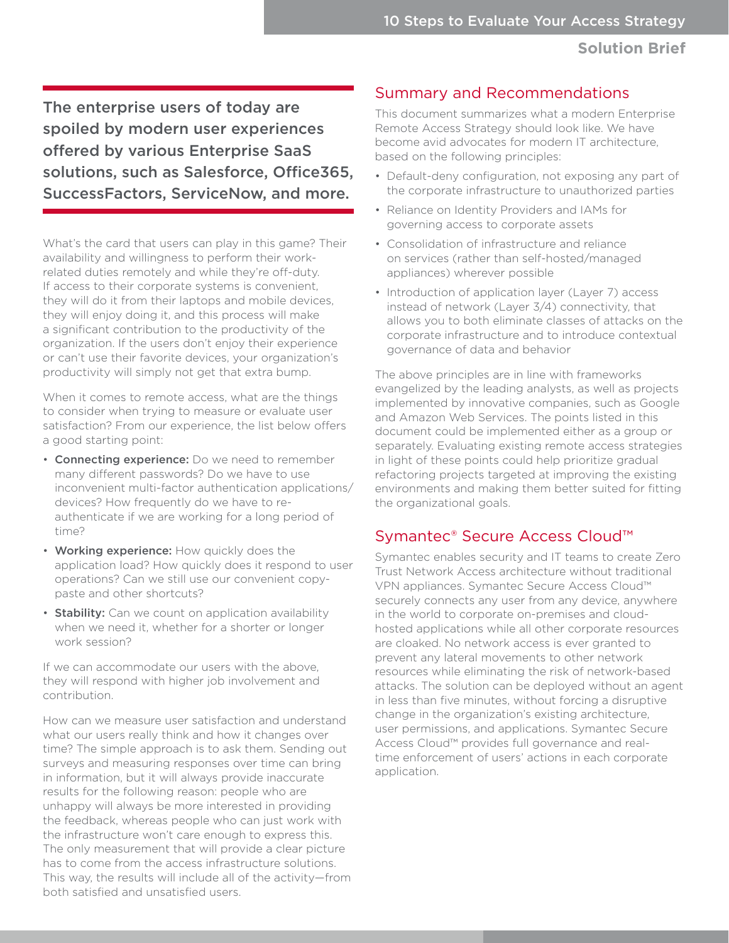The enterprise users of today are spoiled by modern user experiences offered by various Enterprise SaaS solutions, such as Salesforce, Office365, SuccessFactors, ServiceNow, and more.

What's the card that users can play in this game? Their availability and willingness to perform their workrelated duties remotely and while they're off-duty. If access to their corporate systems is convenient, they will do it from their laptops and mobile devices, they will enjoy doing it, and this process will make a significant contribution to the productivity of the organization. If the users don't enjoy their experience or can't use their favorite devices, your organization's productivity will simply not get that extra bump.

When it comes to remote access, what are the things to consider when trying to measure or evaluate user satisfaction? From our experience, the list below offers a good starting point:

- Connecting experience: Do we need to remember many different passwords? Do we have to use inconvenient multi-factor authentication applications/ devices? How frequently do we have to reauthenticate if we are working for a long period of time?
- Working experience: How quickly does the application load? How quickly does it respond to user operations? Can we still use our convenient copypaste and other shortcuts?
- Stability: Can we count on application availability when we need it, whether for a shorter or longer work session?

If we can accommodate our users with the above, they will respond with higher job involvement and contribution.

How can we measure user satisfaction and understand what our users really think and how it changes over time? The simple approach is to ask them. Sending out surveys and measuring responses over time can bring in information, but it will always provide inaccurate results for the following reason: people who are unhappy will always be more interested in providing the feedback, whereas people who can just work with the infrastructure won't care enough to express this. The only measurement that will provide a clear picture has to come from the access infrastructure solutions. This way, the results will include all of the activity—from both satisfied and unsatisfied users.

#### Summary and Recommendations

This document summarizes what a modern Enterprise Remote Access Strategy should look like. We have become avid advocates for modern IT architecture, based on the following principles:

- Default-deny configuration, not exposing any part of the corporate infrastructure to unauthorized parties
- Reliance on Identity Providers and IAMs for governing access to corporate assets
- Consolidation of infrastructure and reliance on services (rather than self-hosted/managed appliances) wherever possible
- Introduction of application layer (Layer 7) access instead of network (Layer 3/4) connectivity, that allows you to both eliminate classes of attacks on the corporate infrastructure and to introduce contextual governance of data and behavior

The above principles are in line with frameworks evangelized by the leading analysts, as well as projects implemented by innovative companies, such as Google and Amazon Web Services. The points listed in this document could be implemented either as a group or separately. Evaluating existing remote access strategies in light of these points could help prioritize gradual refactoring projects targeted at improving the existing environments and making them better suited for fitting the organizational goals.

## Symantec® Secure Access Cloud™

Symantec enables security and IT teams to create Zero Trust Network Access architecture without traditional VPN appliances. Symantec Secure Access Cloud™ securely connects any user from any device, anywhere in the world to corporate on-premises and cloudhosted applications while all other corporate resources are cloaked. No network access is ever granted to prevent any lateral movements to other network resources while eliminating the risk of network-based attacks. The solution can be deployed without an agent in less than five minutes, without forcing a disruptive change in the organization's existing architecture, user permissions, and applications. Symantec Secure Access Cloud™ provides full governance and realtime enforcement of users' actions in each corporate application.